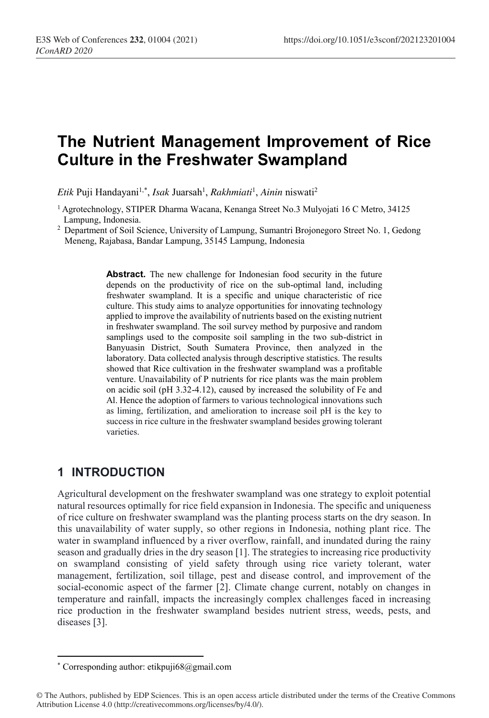# **The Nutrient Management Improvement of Rice Culture in the Freshwater Swampland**

 $E$ tik Puji Handayani<sup>1,\*</sup>, *Isak* Juarsah<sup>1</sup>, *Rakhmiati<sup>1</sup>, Ainin* niswati<sup>2</sup>

<sup>1</sup> Agrotechnology, STIPER Dharma Wacana, Kenanga Street No.3 Mulyojati 16 C Metro, 34125 Lampung, Indonesia.

<sup>2</sup> Department of Soil Science, University of Lampung, Sumantri Brojonegoro Street No. 1, Gedong Meneng, Rajabasa, Bandar Lampung, 35145 Lampung, Indonesia

> **Abstract.** The new challenge for Indonesian food security in the future depends on the productivity of rice on the sub-optimal land, including freshwater swampland. It is a specific and unique characteristic of rice culture. This study aims to analyze opportunities for innovating technology applied to improve the availability of nutrients based on the existing nutrient in freshwater swampland. The soil survey method by purposive and random samplings used to the composite soil sampling in the two sub-district in Banyuasin District, South Sumatera Province, then analyzed in the laboratory. Data collected analysis through descriptive statistics. The results showed that Rice cultivation in the freshwater swampland was a profitable venture. Unavailability of P nutrients for rice plants was the main problem on acidic soil (pH 3.32-4.12), caused by increased the solubility of Fe and Al. Hence the adoption of farmers to various technological innovations such as liming, fertilization, and amelioration to increase soil pH is the key to success in rice culture in the freshwater swampland besides growing tolerant varieties.

## **1 INTRODUCTION**

Agricultural development on the freshwater swampland was one strategy to exploit potential natural resources optimally for rice field expansion in Indonesia. The specific and uniqueness of rice culture on freshwater swampland was the planting process starts on the dry season. In this unavailability of water supply, so other regions in Indonesia, nothing plant rice. The water in swampland influenced by a river overflow, rainfall, and inundated during the rainy season and gradually dries in the dry season [1]. The strategies to increasing rice productivity on swampland consisting of yield safety through using rice variety tolerant, water management, fertilization, soil tillage, pest and disease control, and improvement of the social-economic aspect of the farmer [2]. Climate change current, notably on changes in temperature and rainfall, impacts the increasingly complex challenges faced in increasing rice production in the freshwater swampland besides nutrient stress, weeds, pests, and diseases [3].

 $\overline{\phantom{a}}$ 

<sup>\*</sup> Corresponding author: etikpuji68@gmail.com

<sup>©</sup> The Authors, published by EDP Sciences. This is an open access article distributed under the terms of the Creative Commons Attribution License 4.0 (http://creativecommons.org/licenses/by/4.0/).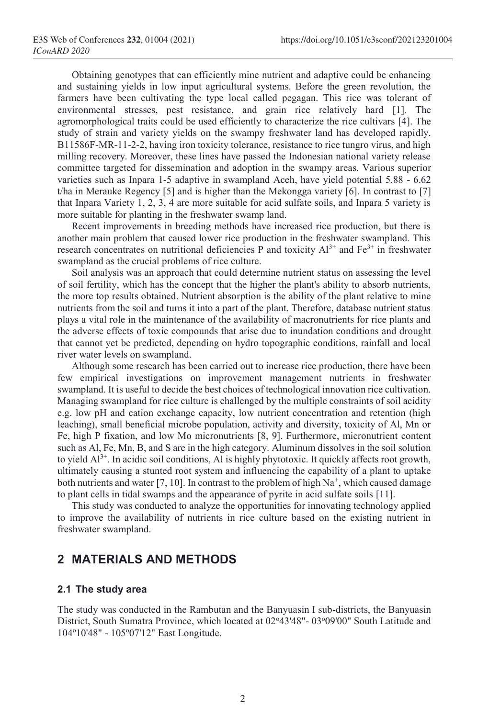Obtaining genotypes that can efficiently mine nutrient and adaptive could be enhancing and sustaining yields in low input agricultural systems. Before the green revolution, the farmers have been cultivating the type local called pegagan. This rice was tolerant of environmental stresses, pest resistance, and grain rice relatively hard [1]. The agromorphological traits could be used efficiently to characterize the rice cultivars [4]. The study of strain and variety yields on the swampy freshwater land has developed rapidly. B11586F-MR-11-2-2, having iron toxicity tolerance, resistance to rice tungro virus, and high milling recovery. Moreover, these lines have passed the Indonesian national variety release committee targeted for dissemination and adoption in the swampy areas. Various superior varieties such as Inpara 1-5 adaptive in swampland Aceh, have yield potential 5.88 - 6.62 t/ha in Merauke Regency [5] and is higher than the Mekongga variety [6]. In contrast to [7] that Inpara Variety 1, 2, 3, 4 are more suitable for acid sulfate soils, and Inpara 5 variety is more suitable for planting in the freshwater swamp land.

Recent improvements in breeding methods have increased rice production, but there is another main problem that caused lower rice production in the freshwater swampland. This research concentrates on nutritional deficiencies P and toxicity  $Al^{3+}$  and Fe<sup>3+</sup> in freshwater swampland as the crucial problems of rice culture.

Soil analysis was an approach that could determine nutrient status on assessing the level of soil fertility, which has the concept that the higher the plant's ability to absorb nutrients, the more top results obtained. Nutrient absorption is the ability of the plant relative to mine nutrients from the soil and turns it into a part of the plant. Therefore, database nutrient status plays a vital role in the maintenance of the availability of macronutrients for rice plants and the adverse effects of toxic compounds that arise due to inundation conditions and drought that cannot yet be predicted, depending on hydro topographic conditions, rainfall and local river water levels on swampland.

Although some research has been carried out to increase rice production, there have been few empirical investigations on improvement management nutrients in freshwater swampland. It is useful to decide the best choices of technological innovation rice cultivation. Managing swampland for rice culture is challenged by the multiple constraints of soil acidity e.g. low pH and cation exchange capacity, low nutrient concentration and retention (high leaching), small beneficial microbe population, activity and diversity, toxicity of Al, Mn or Fe, high P fixation, and low Mo micronutrients [8, 9]. Furthermore, micronutrient content such as Al, Fe, Mn, B, and S are in the high category. Aluminum dissolves in the soil solution to yield Al<sup>3+</sup>. In acidic soil conditions, Al is highly phytotoxic. It quickly affects root growth, ultimately causing a stunted root system and influencing the capability of a plant to uptake both nutrients and water [7, 10]. In contrast to the problem of high  $Na<sup>+</sup>$ , which caused damage to plant cells in tidal swamps and the appearance of pyrite in acid sulfate soils [11].

This study was conducted to analyze the opportunities for innovating technology applied to improve the availability of nutrients in rice culture based on the existing nutrient in freshwater swampland.

## **2 MATERIALS AND METHODS**

#### **2.1 The study area**

The study was conducted in the Rambutan and the Banyuasin I sub-districts, the Banyuasin District, South Sumatra Province, which located at 02°43'48"-03°09'00" South Latitude and 104°10'48" - 105°07'12" East Longitude.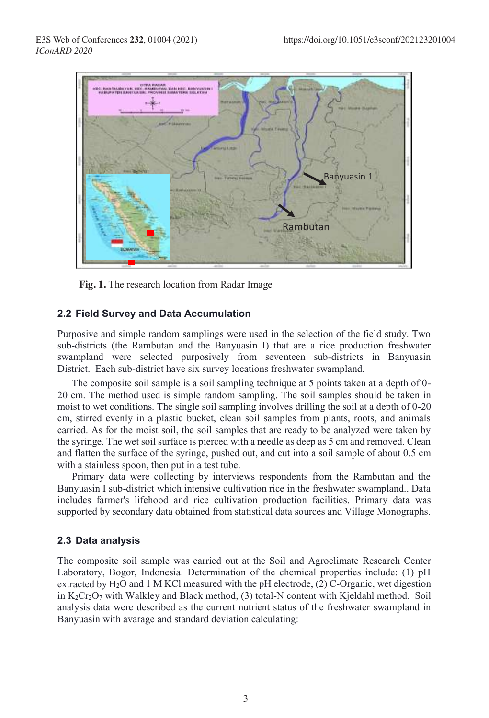

**Fig. 1.** The research location from Radar Image

#### **2.2 Field Survey and Data Accumulation**

Purposive and simple random samplings were used in the selection of the field study. Two sub-districts (the Rambutan and the Banyuasin I) that are a rice production freshwater swampland were selected purposively from seventeen sub-districts in Banyuasin District. Each sub-district have six survey locations freshwater swampland.

The composite soil sample is a soil sampling technique at 5 points taken at a depth of 0- 20 cm. The method used is simple random sampling. The soil samples should be taken in moist to wet conditions. The single soil sampling involves drilling the soil at a depth of 0-20 cm, stirred evenly in a plastic bucket, clean soil samples from plants, roots, and animals carried. As for the moist soil, the soil samples that are ready to be analyzed were taken by the syringe. The wet soil surface is pierced with a needle as deep as 5 cm and removed. Clean and flatten the surface of the syringe, pushed out, and cut into a soil sample of about 0.5 cm with a stainless spoon, then put in a test tube.

Primary data were collecting by interviews respondents from the Rambutan and the Banyuasin I sub-district which intensive cultivation rice in the freshwater swampland.. Data includes farmer's lifehood and rice cultivation production facilities. Primary data was supported by secondary data obtained from statistical data sources and Village Monographs.

#### **2.3 Data analysis**

The composite soil sample was carried out at the Soil and Agroclimate Research Center Laboratory, Bogor, Indonesia. Determination of the chemical properties include: (1) pH extracted by H2O and 1 M KCl measured with the pH electrode, (2) C-Organic, wet digestion in  $K_2Cr_2O_7$  with Walkley and Black method, (3) total-N content with Kjeldahl method. Soil analysis data were described as the current nutrient status of the freshwater swampland in Banyuasin with avarage and standard deviation calculating: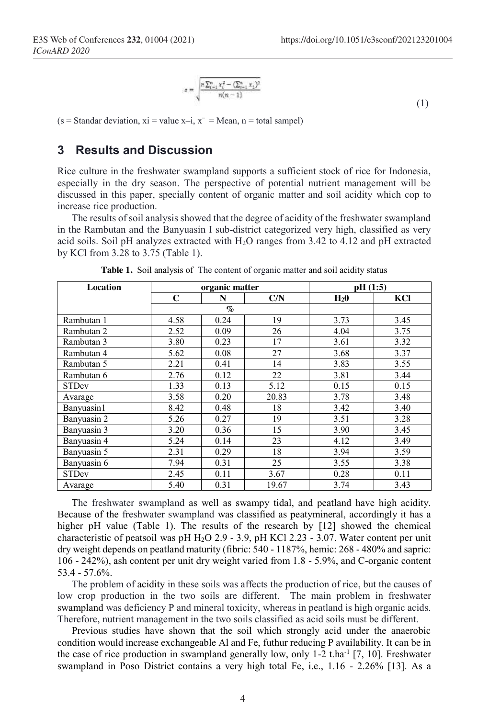$$
s = \sqrt{\frac{n \sum_{i=1}^{n} x_i^2 - (\sum_{i=1}^{n} x_i)^2}{n(n-1)}} \tag{1}
$$

 $(s = Standard deviation, xi = value x-i, x<sup>+</sup> = Mean, n = total sampled)$ 

## **3 Results and Discussion**

Rice culture in the freshwater swampland supports a sufficient stock of rice for Indonesia, especially in the dry season. The perspective of potential nutrient management will be discussed in this paper, specially content of organic matter and soil acidity which cop to increase rice production.

The results of soil analysis showed that the degree of acidity of the freshwater swampland in the Rambutan and the Banyuasin I sub-district categorized very high, classified as very acid soils. Soil pH analyzes extracted with H2O ranges from 3.42 to 4.12 and pH extracted by KCl from 3.28 to 3.75 (Table 1).

| <b>Location</b> | organic matter              |      |       | pH (1:5)         |      |
|-----------------|-----------------------------|------|-------|------------------|------|
|                 | $\mathbf C$                 | N    | C/N   | H <sub>2</sub> 0 | KCl  |
|                 | $\mathcal{G}_{\mathcal{O}}$ |      |       |                  |      |
| Rambutan 1      | 4.58                        | 0.24 | 19    | 3.73             | 3.45 |
| Rambutan 2      | 2.52                        | 0.09 | 26    | 4.04             | 3.75 |
| Rambutan 3      | 3.80                        | 0.23 | 17    | 3.61             | 3.32 |
| Rambutan 4      | 5.62                        | 0.08 | 27    | 3.68             | 3.37 |
| Rambutan 5      | 2.21                        | 0.41 | 14    | 3.83             | 3.55 |
| Rambutan 6      | 2.76                        | 0.12 | 22    | 3.81             | 3.44 |
| <b>STDev</b>    | 1.33                        | 0.13 | 5.12  | 0.15             | 0.15 |
| Avarage         | 3.58                        | 0.20 | 20.83 | 3.78             | 3.48 |
| Banyuasin1      | 8.42                        | 0.48 | 18    | 3.42             | 3.40 |
| Banyuasin 2     | 5.26                        | 0.27 | 19    | 3.51             | 3.28 |
| Banyuasin 3     | 3.20                        | 0.36 | 15    | 3.90             | 3.45 |
| Banyuasin 4     | 5.24                        | 0.14 | 23    | 4.12             | 3.49 |
| Banyuasin 5     | 2.31                        | 0.29 | 18    | 3.94             | 3.59 |
| Banyuasin 6     | 7.94                        | 0.31 | 25    | 3.55             | 3.38 |
| <b>STDev</b>    | 2.45                        | 0.11 | 3.67  | 0.28             | 0.11 |
| Avarage         | 5.40                        | 0.31 | 19.67 | 3.74             | 3.43 |

Table 1. Soil analysis of The content of organic matter and soil acidity status

The freshwater swampland as well as swampy tidal, and peatland have high acidity. Because of the freshwater swampland was classified as peatymineral, accordingly it has a higher pH value (Table 1). The results of the research by [12] showed the chemical characteristic of peatsoil was pH H<sub>2</sub>O 2.9 - 3.9, pH KCl 2.23 - 3.07. Water content per unit dry weight depends on peatland maturity (fibric: 540 - 1187%, hemic: 268 - 480% and sapric: 106 - 242%), ash content per unit dry weight varied from 1.8 - 5.9%, and C-organic content 53.4 - 57.6%.

The problem of acidity in these soils was affects the production of rice, but the causes of low crop production in the two soils are different. The main problem in freshwater swampland was deficiency P and mineral toxicity, whereas in peatland is high organic acids. Therefore, nutrient management in the two soils classified as acid soils must be different.

Previous studies have shown that the soil which strongly acid under the anaerobic condition would increase exchangeable Al and Fe, futhur reducing P availability. It can be in the case of rice production in swampland generally low, only  $1\n-2$  t.ha<sup>-1</sup> [7, 10]. Freshwater swampland in Poso District contains a very high total Fe, i.e., 1.16 - 2.26% [13]. As a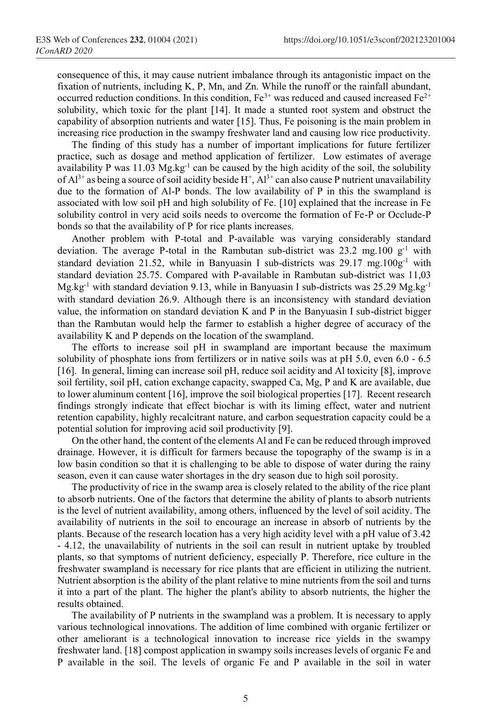consequence of this, it may cause nutrient imbalance through its antagonistic impact on the fixation of nutrients, including K, P, Mn, and Zn. While the runoff or the rainfall abundant, occurred reduction conditions. In this condition,  $Fe^{3+}$  was reduced and caused increased  $Fe^{2+}$ solubility, which toxic for the plant [14]. It made a stunted root system and obstruct the capability of absorption nutrients and water [15]. Thus, Fe poisoning is the main problem in increasing rice production in the swampy freshwater land and causing low rice productivity.

The finding of this study has a number of important implications for future fertilizer practice, such as dosage and method application of fertilizer. Low estimates of average availability P was 11.03 Mg.kg<sup>-1</sup> can be caused by the high acidity of the soil, the solubility of  $Al^{3+}$  as being a source of soil acidity beside  $H^+$ ,  $Al^{3+}$  can also cause P nutrient unavailability due to the formation of Al-P bonds. The low availability of P in this the swampland is associated with low soil pH and high solubility of Fe. [10] explained that the increase in Fe solubility control in very acid soils needs to overcome the formation of Fe-P or Occlude-P bonds so that the availability of P for rice plants increases.

Another problem with P-total and P-available was varying considerably standard deviation. The average P-total in the Rambutan sub-district was 23.2 mg.100 g-1 with standard deviation 21.52, while in Banyuasin I sub-districts was  $29.17 \text{ mg}.100g^{-1}$  with standard deviation 25.75. Compared with P-available in Rambutan sub-district was 11,03 Mg.kg<sup>-1</sup> with standard deviation 9.13, while in Banyuasin I sub-districts was 25.29 Mg.kg<sup>-1</sup> with standard deviation 26.9. Although there is an inconsistency with standard deviation value, the information on standard deviation K and P in the Banyuasin I sub-district bigger than the Rambutan would help the farmer to establish a higher degree of accuracy of the availability K and P depends on the location of the swampland.

The efforts to increase soil pH in swampland are important because the maximum solubility of phosphate ions from fertilizers or in native soils was at pH 5.0, even 6.0 - 6.5 [16]. In general, liming can increase soil pH, reduce soil acidity and Al toxicity [8], improve soil fertility, soil pH, cation exchange capacity, swapped Ca, Mg, P and K are available, due to lower aluminum content [16], improve the soil biological properties [17]. Recent research findings strongly indicate that effect biochar is with its liming effect, water and nutrient retention capability, highly recalcitrant nature, and carbon sequestration capacity could be a potential solution for improving acid soil productivity [9].

On the other hand, the content of the elements Al and Fe can be reduced through improved drainage. However, it is difficult for farmers because the topography of the swamp is in a low basin condition so that it is challenging to be able to dispose of water during the rainy season, even it can cause water shortages in the dry season due to high soil porosity.

The productivity of rice in the swamp area is closely related to the ability of the rice plant to absorb nutrients. One of the factors that determine the ability of plants to absorb nutrients is the level of nutrient availability, among others, influenced by the level of soil acidity. The availability of nutrients in the soil to encourage an increase in absorb of nutrients by the plants. Because of the research location has a very high acidity level with a pH value of 3.42 - 4.12, the unavailability of nutrients in the soil can result in nutrient uptake by troubled plants, so that symptoms of nutrient deficiency, especially P. Therefore, rice culture in the freshwater swampland is necessary for rice plants that are efficient in utilizing the nutrient. Nutrient absorption is the ability of the plant relative to mine nutrients from the soil and turns it into a part of the plant. The higher the plant's ability to absorb nutrients, the higher the results obtained.

The availability of P nutrients in the swampland was a problem. It is necessary to apply various technological innovations. The addition of lime combined with organic fertilizer or other ameliorant is a technological innovation to increase rice yields in the swampy freshwater land. [18] compost application in swampy soils increases levels of organic Fe and P available in the soil. The levels of organic Fe and P available in the soil in water